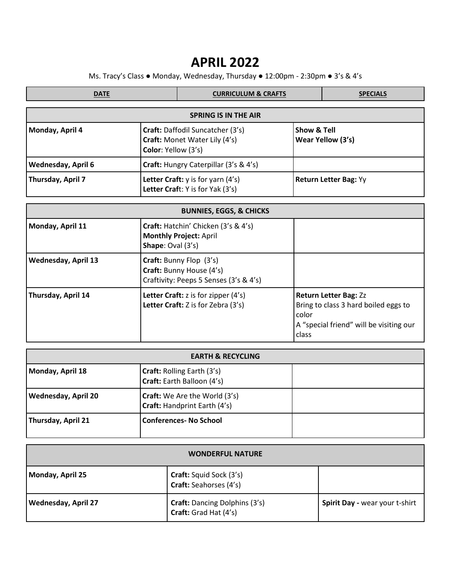## **APRIL 2022**

Ms. Tracy's Class ● Monday, Wednesday, Thursday ● 12:00pm - 2:30pm ● 3's & 4's

| <b>DATE</b>                 |  | <b>CURRICULUM &amp; CRAFTS</b>                                                           |  | <b>SPECIALS</b>                             |  |  |
|-----------------------------|--|------------------------------------------------------------------------------------------|--|---------------------------------------------|--|--|
| <b>SPRING IS IN THE AIR</b> |  |                                                                                          |  |                                             |  |  |
| Monday, April 4             |  | Craft: Daffodil Suncatcher (3's)<br>Craft: Monet Water Lily (4's)<br>Color: Yellow (3's) |  | <b>Show &amp; Tell</b><br>Wear Yellow (3's) |  |  |
| <b>Wednesday, April 6</b>   |  | <b>Craft:</b> Hungry Caterpillar (3's & 4's)                                             |  |                                             |  |  |
| Thursday, April 7           |  | Letter Craft: y is for yarn (4's)<br>Letter Craft: Y is for Yak (3's)                    |  | <b>Return Letter Bag: Yy</b>                |  |  |

| <b>BUNNIES, EGGS, &amp; CHICKS</b> |                                                                                                    |                                                                                                                                   |  |  |
|------------------------------------|----------------------------------------------------------------------------------------------------|-----------------------------------------------------------------------------------------------------------------------------------|--|--|
| Monday, April 11                   | Craft: Hatchin' Chicken (3's & 4's)<br><b>Monthly Project: April</b><br><b>Shape:</b> Oval $(3's)$ |                                                                                                                                   |  |  |
| <b>Wednesday, April 13</b>         | Craft: Bunny Flop (3's)<br>Craft: Bunny House (4's)<br>Craftivity: Peeps 5 Senses (3's & 4's)      |                                                                                                                                   |  |  |
| Thursday, April 14                 | Letter Craft: $z$ is for zipper $(4's)$<br>Letter Craft: Z is for Zebra (3's)                      | <b>Return Letter Bag: Zz</b><br>Bring to class 3 hard boiled eggs to<br>color<br>A "special friend" will be visiting our<br>class |  |  |

| <b>EARTH &amp; RECYCLING</b> |                                                                             |  |  |  |
|------------------------------|-----------------------------------------------------------------------------|--|--|--|
| Monday, April 18             | <b>Craft: Rolling Earth (3's)</b><br>Craft: Earth Balloon (4's)             |  |  |  |
| <b>Wednesday, April 20</b>   | <b>Craft:</b> We Are the World (3's)<br><b>Craft:</b> Handprint Earth (4's) |  |  |  |
| Thursday, April 21           | <b>Conferences-No School</b>                                                |  |  |  |

| <b>WONDERFUL NATURE</b>    |                                                                 |                                |  |  |
|----------------------------|-----------------------------------------------------------------|--------------------------------|--|--|
| Monday, April 25           | <b>Craft:</b> Squid Sock (3's)<br><b>Craft:</b> Seahorses (4's) |                                |  |  |
| <b>Wednesday, April 27</b> | <b>Craft:</b> Dancing Dolphins (3's)<br>Craft: Grad Hat (4's)   | Spirit Day - wear your t-shirt |  |  |